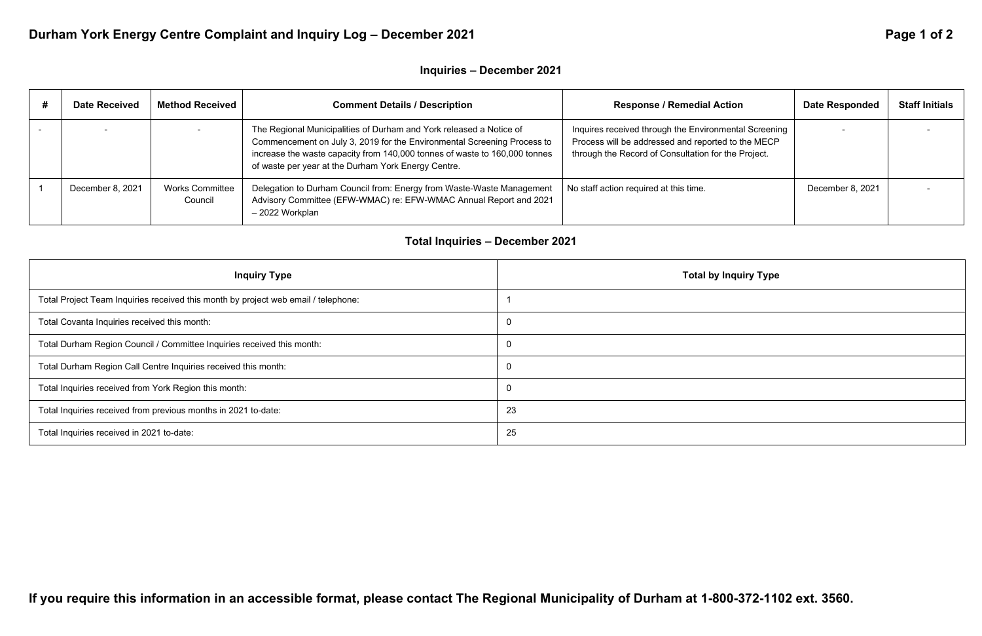# Durham York Energy Centre Complaint and Inquiry Log - December 2021 **Page 1 06 2 1 and 2 11 and 2 11 and 2** Page 1 of 2

### **Inquiries – December 2021**

| <b>Date Received</b> | <b>Method Received</b>            | <b>Comment Details / Description</b>                                                                                                                                                                                                                                                | <b>Response / Remedial Action</b>                                                                                                                                  | <b>Date Responded</b> | <b>Staff Initials</b> |
|----------------------|-----------------------------------|-------------------------------------------------------------------------------------------------------------------------------------------------------------------------------------------------------------------------------------------------------------------------------------|--------------------------------------------------------------------------------------------------------------------------------------------------------------------|-----------------------|-----------------------|
|                      |                                   | The Regional Municipalities of Durham and York released a Notice of<br>Commencement on July 3, 2019 for the Environmental Screening Process to<br>increase the waste capacity from 140,000 tonnes of waste to 160,000 tonnes<br>of waste per year at the Durham York Energy Centre. | Inquires received through the Environmental Screening<br>Process will be addressed and reported to the MECP<br>through the Record of Consultation for the Project. |                       |                       |
| December 8, 2021     | <b>Works Committee</b><br>Council | Delegation to Durham Council from: Energy from Waste-Waste Management<br>Advisory Committee (EFW-WMAC) re: EFW-WMAC Annual Report and 2021<br>- 2022 Workplan                                                                                                                       | No staff action required at this time.                                                                                                                             | December 8, 2021      |                       |

## **Total Inquiries – December 2021**

| <b>Inquiry Type</b>                                                                | <b>Total by Inquiry Type</b> |
|------------------------------------------------------------------------------------|------------------------------|
| Total Project Team Inquiries received this month by project web email / telephone: |                              |
| Total Covanta Inquiries received this month:                                       | 0                            |
| Total Durham Region Council / Committee Inquiries received this month:             | 0                            |
| Total Durham Region Call Centre Inquiries received this month:                     | $\Omega$                     |
| Total Inquiries received from York Region this month:                              | $\overline{0}$               |
| Total Inquiries received from previous months in 2021 to-date:                     | 23                           |
| Total Inquiries received in 2021 to-date:                                          | 25                           |